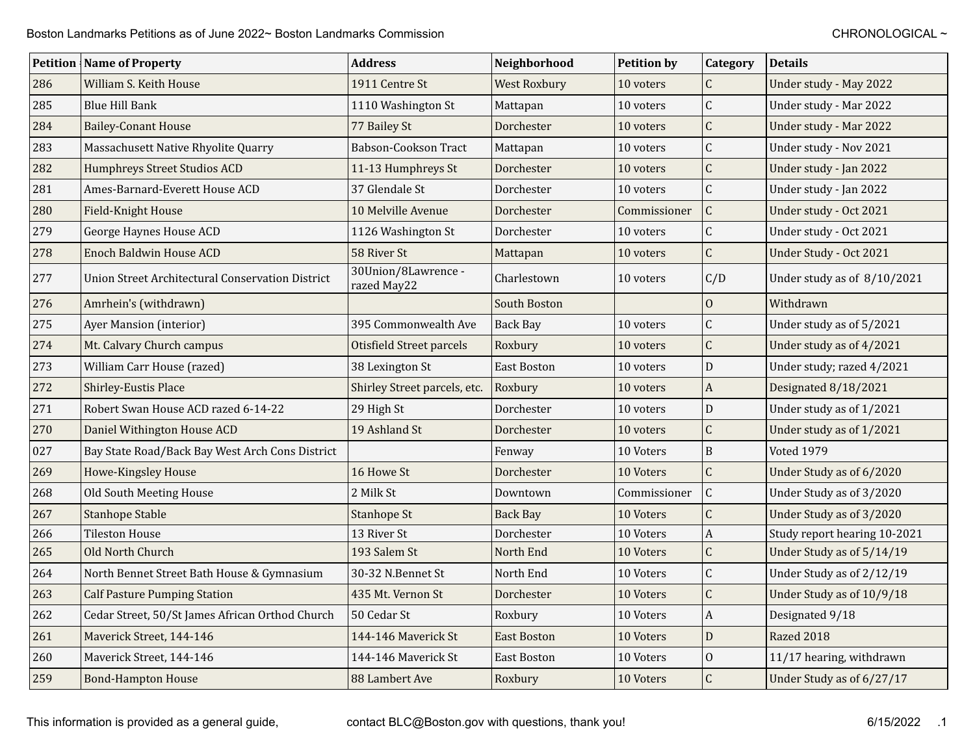|     | <b>Petition Name of Property</b>                 | <b>Address</b>                     | Neighborhood        | <b>Petition by</b> | Category         | <b>Details</b>               |
|-----|--------------------------------------------------|------------------------------------|---------------------|--------------------|------------------|------------------------------|
| 286 | William S. Keith House                           | 1911 Centre St                     | <b>West Roxbury</b> | 10 voters          | $\mathsf C$      | Under study - May 2022       |
| 285 | <b>Blue Hill Bank</b>                            | 1110 Washington St                 | Mattapan            | 10 voters          | $\mathsf{C}$     | Under study - Mar 2022       |
| 284 | <b>Bailey-Conant House</b>                       | 77 Bailey St                       | Dorchester          | 10 voters          | $\overline{C}$   | Under study - Mar 2022       |
| 283 | Massachusett Native Rhyolite Quarry              | Babson-Cookson Tract               | Mattapan            | 10 voters          | $\mathsf{C}$     | Under study - Nov 2021       |
| 282 | Humphreys Street Studios ACD                     | 11-13 Humphreys St                 | Dorchester          | 10 voters          | $\mathsf C$      | Under study - Jan 2022       |
| 281 | Ames-Barnard-Everett House ACD                   | 37 Glendale St                     | Dorchester          | 10 voters          | $\overline{C}$   | Under study - Jan 2022       |
| 280 | Field-Knight House                               | 10 Melville Avenue                 | Dorchester          | Commissioner       | $\overline{C}$   | Under study - Oct 2021       |
| 279 | George Haynes House ACD                          | 1126 Washington St                 | Dorchester          | 10 voters          | $\mathsf{C}$     | Under study - Oct 2021       |
| 278 | <b>Enoch Baldwin House ACD</b>                   | 58 River St                        | Mattapan            | 10 voters          | $\overline{C}$   | Under Study - Oct 2021       |
| 277 | Union Street Architectural Conservation District | 30Union/8Lawrence -<br>razed May22 | Charlestown         | 10 voters          | C/D              | Under study as of 8/10/2021  |
| 276 | Amrhein's (withdrawn)                            |                                    | South Boston        |                    | $\overline{0}$   | Withdrawn                    |
| 275 | Ayer Mansion (interior)                          | 395 Commonwealth Ave               | <b>Back Bay</b>     | 10 voters          | $\mathsf C$      | Under study as of 5/2021     |
| 274 | Mt. Calvary Church campus                        | Otisfield Street parcels           | Roxbury             | 10 voters          | $\overline{C}$   | Under study as of 4/2021     |
| 273 | William Carr House (razed)                       | 38 Lexington St                    | <b>East Boston</b>  | 10 voters          | $\mathbf{D}$     | Under study; razed 4/2021    |
| 272 | Shirley-Eustis Place                             | Shirley Street parcels, etc.       | Roxbury             | 10 voters          | $\boldsymbol{A}$ | Designated 8/18/2021         |
| 271 | Robert Swan House ACD razed 6-14-22              | 29 High St                         | Dorchester          | 10 voters          | ${\bf D}$        | Under study as of 1/2021     |
| 270 | Daniel Withington House ACD                      | 19 Ashland St                      | Dorchester          | 10 voters          | $\overline{C}$   | Under study as of 1/2021     |
| 027 | Bay State Road/Back Bay West Arch Cons District  |                                    | Fenway              | 10 Voters          | $\mathbf B$      | Voted 1979                   |
| 269 | Howe-Kingsley House                              | 16 Howe St                         | Dorchester          | 10 Voters          | $\mathsf{C}$     | Under Study as of 6/2020     |
| 268 | Old South Meeting House                          | 2 Milk St                          | Downtown            | Commissioner       | $\mathsf C$      | Under Study as of 3/2020     |
| 267 | Stanhope Stable                                  | <b>Stanhope St</b>                 | <b>Back Bay</b>     | 10 Voters          | $\overline{C}$   | Under Study as of 3/2020     |
| 266 | <b>Tileston House</b>                            | 13 River St                        | Dorchester          | 10 Voters          | $\boldsymbol{A}$ | Study report hearing 10-2021 |
| 265 | Old North Church                                 | 193 Salem St                       | North End           | 10 Voters          | $\mathsf C$      | Under Study as of 5/14/19    |
| 264 | North Bennet Street Bath House & Gymnasium       | 30-32 N.Bennet St                  | North End           | 10 Voters          | $\mathsf{C}$     | Under Study as of 2/12/19    |
| 263 | <b>Calf Pasture Pumping Station</b>              | 435 Mt. Vernon St                  | Dorchester          | 10 Voters          | $\overline{C}$   | Under Study as of 10/9/18    |
| 262 | Cedar Street, 50/St James African Orthod Church  | 50 Cedar St                        | Roxbury             | 10 Voters          | $\boldsymbol{A}$ | Designated 9/18              |
| 261 | Maverick Street, 144-146                         | 144-146 Maverick St                | <b>East Boston</b>  | 10 Voters          | D                | Razed 2018                   |
| 260 | Maverick Street, 144-146                         | 144-146 Maverick St                | <b>East Boston</b>  | 10 Voters          | $\mathbf{O}$     | 11/17 hearing, withdrawn     |
| 259 | <b>Bond-Hampton House</b>                        | 88 Lambert Ave                     | Roxbury             | 10 Voters          | $\mathsf{C}$     | Under Study as of 6/27/17    |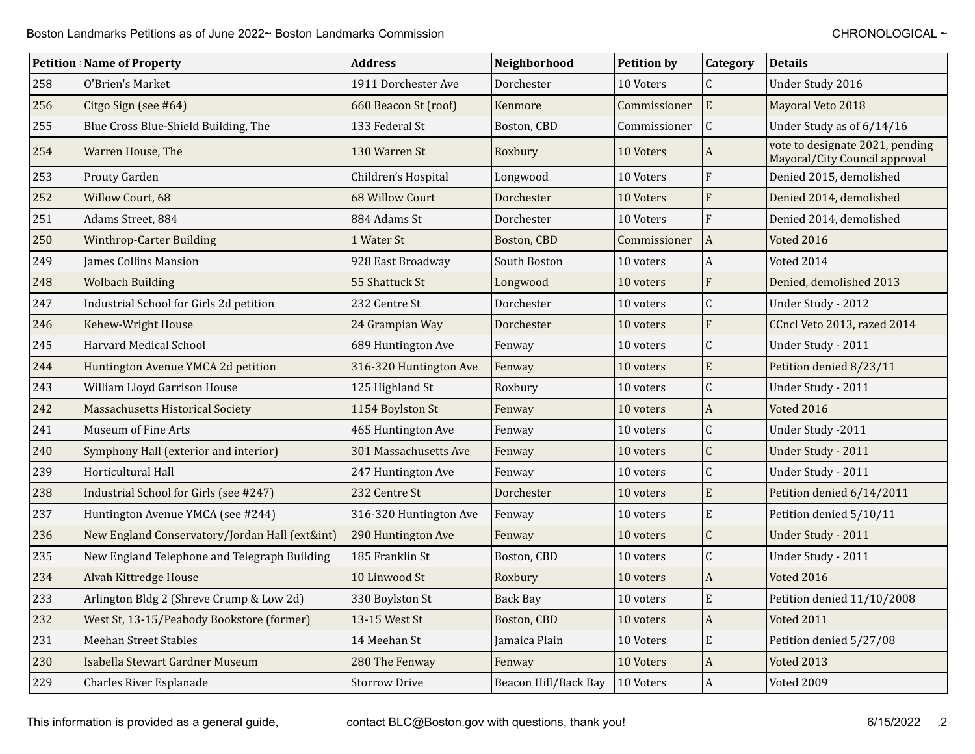|     | <b>Petition Name of Property</b>             | <b>Address</b>         | Neighborhood         | <b>Petition by</b> | <b>Category</b>  | <b>Details</b>                                                   |
|-----|----------------------------------------------|------------------------|----------------------|--------------------|------------------|------------------------------------------------------------------|
| 258 | O'Brien's Market                             | 1911 Dorchester Ave    | Dorchester           | 10 Voters          | $\mathsf{C}$     | Under Study 2016                                                 |
| 256 | Citgo Sign (see #64)                         | 660 Beacon St (roof)   | Kenmore              | Commissioner       | ${\bf E}$        | Mayoral Veto 2018                                                |
| 255 | Blue Cross Blue-Shield Building, The         | 133 Federal St         | Boston, CBD          | Commissioner       | $\mathsf C$      | Under Study as of 6/14/16                                        |
| 254 | Warren House, The                            | 130 Warren St          | Roxbury              | 10 Voters          | A                | vote to designate 2021, pending<br>Mayoral/City Council approval |
| 253 | Prouty Garden                                | Children's Hospital    | Longwood             | 10 Voters          | F                | Denied 2015, demolished                                          |
| 252 | Willow Court, 68                             | <b>68 Willow Court</b> | Dorchester           | 10 Voters          | F                | Denied 2014, demolished                                          |
| 251 | Adams Street, 884                            | 884 Adams St           | Dorchester           | 10 Voters          | $\mathbf{F}$     | Denied 2014, demolished                                          |
| 250 | Winthrop-Carter Building                     | 1 Water St             | Boston, CBD          | Commissioner       | $\boldsymbol{A}$ | Voted 2016                                                       |
| 249 | <b>James Collins Mansion</b>                 | 928 East Broadway      | South Boston         | 10 voters          | $\boldsymbol{A}$ | Voted 2014                                                       |
| 248 | <b>Wolbach Building</b>                      | 55 Shattuck St         | Longwood             | 10 voters          | ${\bf F}$        | Denied, demolished 2013                                          |
| 247 | Industrial School for Girls 2d petition      | 232 Centre St          | Dorchester           | 10 voters          | $\mathsf C$      | Under Study - 2012                                               |
| 246 | Kehew-Wright House                           | 24 Grampian Way        | Dorchester           | 10 voters          | F                | CCncl Veto 2013, razed 2014                                      |
| 245 | <b>Harvard Medical School</b>                | 689 Huntington Ave     | Fenway               | 10 voters          | $\mathsf{C}$     | Under Study - 2011                                               |
| 244 | Huntington Avenue YMCA 2d petition           | 316-320 Huntington Ave | Fenway               | 10 voters          | $\mathbf E$      | Petition denied 8/23/11                                          |
| 243 | William Lloyd Garrison House                 | 125 Highland St        | Roxbury              | 10 voters          | $\overline{C}$   | Under Study - 2011                                               |
| 242 | <b>Massachusetts Historical Society</b>      | 1154 Boylston St       | Fenway               | 10 voters          | $\boldsymbol{A}$ | <b>Voted 2016</b>                                                |
| 241 | Museum of Fine Arts                          | 465 Huntington Ave     | Fenway               | 10 voters          | $\overline{C}$   | Under Study - 2011                                               |
| 240 | Symphony Hall (exterior and interior)        | 301 Massachusetts Ave  | Fenway               | 10 voters          | $\overline{C}$   | Under Study - 2011                                               |
| 239 | Horticultural Hall                           | 247 Huntington Ave     | Fenway               | 10 voters          | $\overline{C}$   | Under Study - 2011                                               |
| 238 | Industrial School for Girls (see #247)       | 232 Centre St          | Dorchester           | 10 voters          | $\mathbf E$      | Petition denied 6/14/2011                                        |
| 237 | Huntington Avenue YMCA (see #244)            | 316-320 Huntington Ave | Fenway               | 10 voters          | $\mathbf E$      | Petition denied 5/10/11                                          |
| 236 | New England Conservatory/Jordan Hall (ext∫)  | 290 Huntington Ave     | Fenway               | 10 voters          | $\mathsf C$      | Under Study - 2011                                               |
| 235 | New England Telephone and Telegraph Building | 185 Franklin St        | Boston, CBD          | 10 voters          | $\overline{C}$   | Under Study - 2011                                               |
| 234 | Alvah Kittredge House                        | 10 Linwood St          | Roxbury              | 10 voters          | $\boldsymbol{A}$ | Voted 2016                                                       |
| 233 | Arlington Bldg 2 (Shreve Crump & Low 2d)     | 330 Boylston St        | <b>Back Bay</b>      | 10 voters          | $\mathbf E$      | Petition denied 11/10/2008                                       |
| 232 | West St, 13-15/Peabody Bookstore (former)    | 13-15 West St          | Boston, CBD          | 10 voters          | $\mathbf{A}$     | Voted 2011                                                       |
| 231 | <b>Meehan Street Stables</b>                 | 14 Meehan St           | Jamaica Plain        | 10 Voters          | $\mathbf E$      | Petition denied 5/27/08                                          |
| 230 | Isabella Stewart Gardner Museum              | 280 The Fenway         | Fenway               | 10 Voters          | A                | Voted 2013                                                       |
| 229 | Charles River Esplanade                      | <b>Storrow Drive</b>   | Beacon Hill/Back Bay | 10 Voters          | $\boldsymbol{A}$ | Voted 2009                                                       |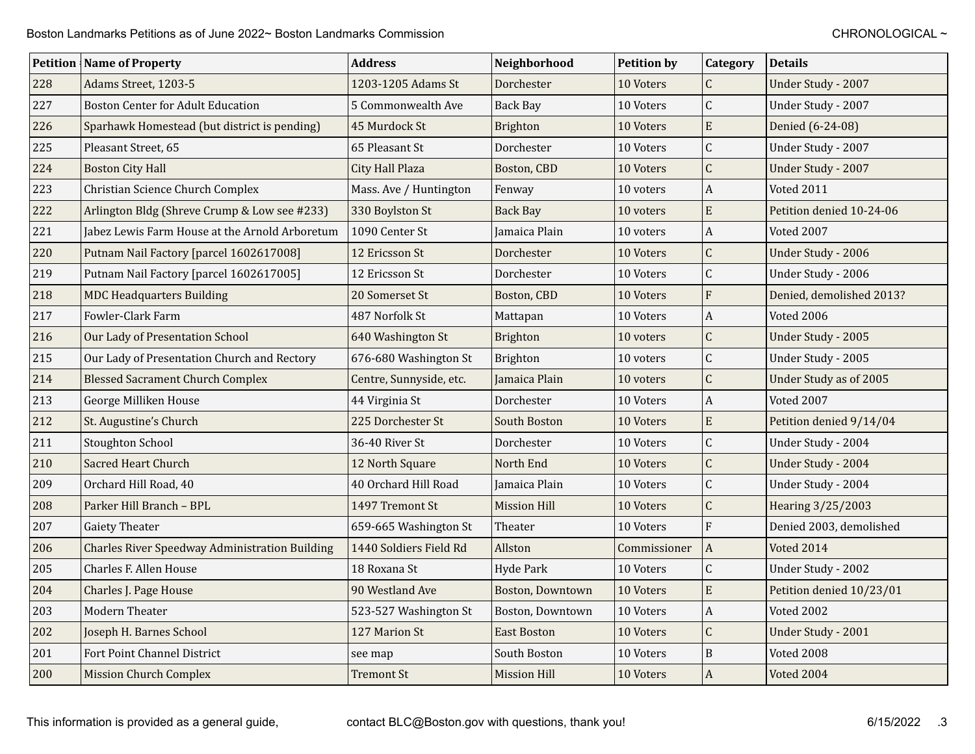|     | <b>Petition   Name of Property</b>                    | <b>Address</b>          | Neighborhood        | <b>Petition by</b> | <b>Category</b>  | <b>Details</b>           |
|-----|-------------------------------------------------------|-------------------------|---------------------|--------------------|------------------|--------------------------|
| 228 | Adams Street, 1203-5                                  | 1203-1205 Adams St      | Dorchester          | 10 Voters          | $\mathsf{C}$     | Under Study - 2007       |
| 227 | <b>Boston Center for Adult Education</b>              | 5 Commonwealth Ave      | <b>Back Bay</b>     | 10 Voters          | $\mathsf{C}$     | Under Study - 2007       |
| 226 | Sparhawk Homestead (but district is pending)          | 45 Murdock St           | Brighton            | 10 Voters          | $\mathbf E$      | Denied (6-24-08)         |
| 225 | Pleasant Street, 65                                   | 65 Pleasant St          | Dorchester          | 10 Voters          | $\mathsf C$      | Under Study - 2007       |
| 224 | <b>Boston City Hall</b>                               | <b>City Hall Plaza</b>  | Boston, CBD         | 10 Voters          | $\overline{C}$   | Under Study - 2007       |
| 223 | Christian Science Church Complex                      | Mass. Ave / Huntington  | Fenway              | 10 voters          | $\boldsymbol{A}$ | Voted 2011               |
| 222 | Arlington Bldg (Shreve Crump & Low see #233)          | 330 Boylston St         | <b>Back Bay</b>     | 10 voters          | $\mathbf E$      | Petition denied 10-24-06 |
| 221 | Jabez Lewis Farm House at the Arnold Arboretum        | 1090 Center St          | Jamaica Plain       | 10 voters          | $\boldsymbol{A}$ | Voted 2007               |
| 220 | Putnam Nail Factory [parcel 1602617008]               | 12 Ericsson St          | Dorchester          | 10 Voters          | $\mathsf{C}$     | Under Study - 2006       |
| 219 | Putnam Nail Factory [parcel 1602617005]               | 12 Ericsson St          | Dorchester          | 10 Voters          | $\mathsf{C}$     | Under Study - 2006       |
| 218 | <b>MDC Headquarters Building</b>                      | 20 Somerset St          | Boston, CBD         | 10 Voters          | F                | Denied, demolished 2013? |
| 217 | Fowler-Clark Farm                                     | 487 Norfolk St          | Mattapan            | 10 Voters          | $\boldsymbol{A}$ | Voted 2006               |
| 216 | Our Lady of Presentation School                       | 640 Washington St       | Brighton            | 10 voters          | $\overline{C}$   | Under Study - 2005       |
| 215 | Our Lady of Presentation Church and Rectory           | 676-680 Washington St   | <b>Brighton</b>     | 10 voters          | $\mathsf{C}$     | Under Study - 2005       |
| 214 | <b>Blessed Sacrament Church Complex</b>               | Centre, Sunnyside, etc. | Jamaica Plain       | 10 voters          | $\overline{C}$   | Under Study as of 2005   |
| 213 | George Milliken House                                 | 44 Virginia St          | Dorchester          | 10 Voters          | $\boldsymbol{A}$ | Voted 2007               |
| 212 | St. Augustine's Church                                | 225 Dorchester St       | South Boston        | 10 Voters          | ${\bf E}$        | Petition denied 9/14/04  |
| 211 | <b>Stoughton School</b>                               | 36-40 River St          | Dorchester          | 10 Voters          | $\overline{C}$   | Under Study - 2004       |
| 210 | <b>Sacred Heart Church</b>                            | 12 North Square         | North End           | 10 Voters          | C                | Under Study - 2004       |
| 209 | Orchard Hill Road, 40                                 | 40 Orchard Hill Road    | Jamaica Plain       | 10 Voters          | $\overline{C}$   | Under Study - 2004       |
| 208 | Parker Hill Branch - BPL                              | 1497 Tremont St         | <b>Mission Hill</b> | 10 Voters          | $\overline{C}$   | Hearing 3/25/2003        |
| 207 | <b>Gaiety Theater</b>                                 | 659-665 Washington St   | Theater             | 10 Voters          | F                | Denied 2003, demolished  |
| 206 | <b>Charles River Speedway Administration Building</b> | 1440 Soldiers Field Rd  | Allston             | Commissioner       | $\overline{A}$   | Voted 2014               |
| 205 | Charles F. Allen House                                | 18 Roxana St            | Hyde Park           | 10 Voters          | $\overline{C}$   | Under Study - 2002       |
| 204 | Charles J. Page House                                 | 90 Westland Ave         | Boston, Downtown    | 10 Voters          | E                | Petition denied 10/23/01 |
| 203 | <b>Modern Theater</b>                                 | 523-527 Washington St   | Boston, Downtown    | 10 Voters          | $\boldsymbol{A}$ | Voted 2002               |
| 202 | Joseph H. Barnes School                               | 127 Marion St           | <b>East Boston</b>  | 10 Voters          | $\overline{C}$   | Under Study - 2001       |
| 201 | Fort Point Channel District                           | see map                 | South Boston        | 10 Voters          | B                | Voted 2008               |
| 200 | <b>Mission Church Complex</b>                         | Tremont St              | <b>Mission Hill</b> | 10 Voters          | $\boldsymbol{A}$ | Voted 2004               |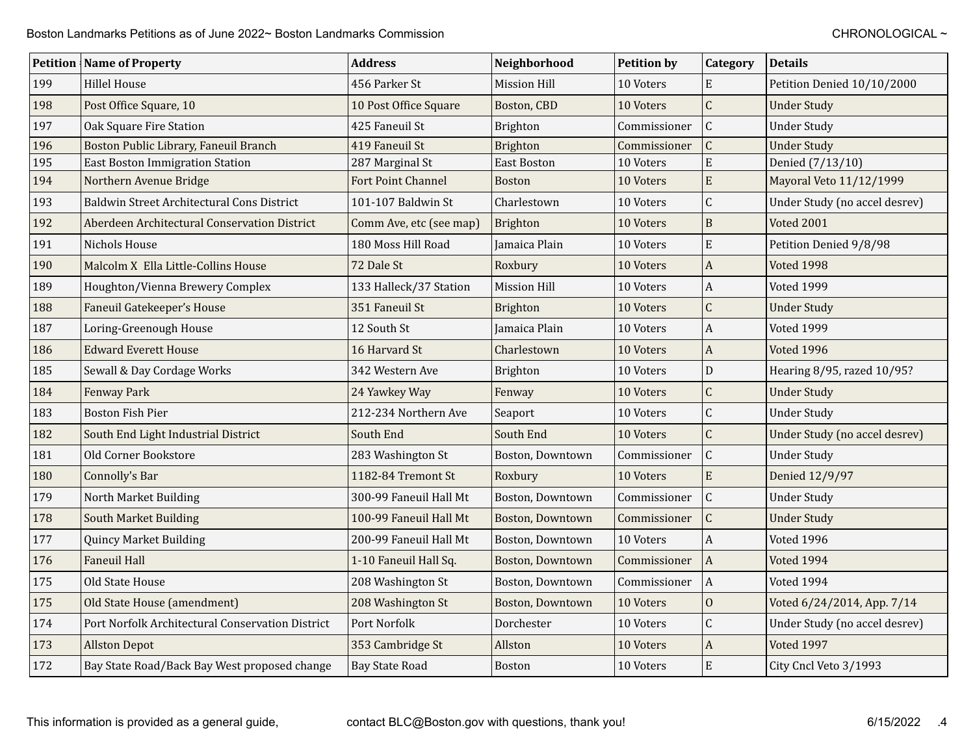|     | <b>Petition   Name of Property</b>               | <b>Address</b>          | Neighborhood        | <b>Petition by</b> | <b>Category</b>           | <b>Details</b>                |
|-----|--------------------------------------------------|-------------------------|---------------------|--------------------|---------------------------|-------------------------------|
| 199 | <b>Hillel House</b>                              | 456 Parker St           | <b>Mission Hill</b> | 10 Voters          | ${\bf E}$                 | Petition Denied 10/10/2000    |
| 198 | Post Office Square, 10                           | 10 Post Office Square   | Boston, CBD         | 10 Voters          | $\mathsf C$               | <b>Under Study</b>            |
| 197 | Oak Square Fire Station                          | 425 Faneuil St          | Brighton            | Commissioner       | $\mathsf{C}$              | <b>Under Study</b>            |
| 196 | Boston Public Library, Faneuil Branch            | 419 Faneuil St          | Brighton            | Commissioner       | $\mathsf{C}$              | <b>Under Study</b>            |
| 195 | <b>East Boston Immigration Station</b>           | 287 Marginal St         | <b>East Boston</b>  | 10 Voters          | E                         | Denied (7/13/10)              |
| 194 | Northern Avenue Bridge                           | Fort Point Channel      | <b>Boston</b>       | 10 Voters          | E                         | Mayoral Veto 11/12/1999       |
| 193 | Baldwin Street Architectural Cons District       | 101-107 Baldwin St      | Charlestown         | 10 Voters          | $\overline{C}$            | Under Study (no accel desrev) |
| 192 | Aberdeen Architectural Conservation District     | Comm Ave, etc (see map) | Brighton            | 10 Voters          | $\mathbf B$               | <b>Voted 2001</b>             |
| 191 | Nichols House                                    | 180 Moss Hill Road      | Jamaica Plain       | 10 Voters          | E                         | Petition Denied 9/8/98        |
| 190 | Malcolm X Ella Little-Collins House              | 72 Dale St              | Roxbury             | 10 Voters          | $\boldsymbol{A}$          | Voted 1998                    |
| 189 | Houghton/Vienna Brewery Complex                  | 133 Halleck/37 Station  | <b>Mission Hill</b> | 10 Voters          | $\boldsymbol{\mathsf{A}}$ | Voted 1999                    |
| 188 | Faneuil Gatekeeper's House                       | 351 Faneuil St          | Brighton            | 10 Voters          | $\mathsf{C}$              | <b>Under Study</b>            |
| 187 | Loring-Greenough House                           | 12 South St             | Jamaica Plain       | 10 Voters          | $\mathbf{A}$              | Voted 1999                    |
| 186 | <b>Edward Everett House</b>                      | 16 Harvard St           | Charlestown         | 10 Voters          | $\mathbf{A}$              | <b>Voted 1996</b>             |
| 185 | Sewall & Day Cordage Works                       | 342 Western Ave         | Brighton            | 10 Voters          | ${\bf D}$                 | Hearing 8/95, razed 10/95?    |
| 184 | <b>Fenway Park</b>                               | 24 Yawkey Way           | Fenway              | 10 Voters          | $\overline{C}$            | <b>Under Study</b>            |
| 183 | <b>Boston Fish Pier</b>                          | 212-234 Northern Ave    | Seaport             | 10 Voters          | $\mathsf{C}$              | <b>Under Study</b>            |
| 182 | South End Light Industrial District              | South End               | South End           | 10 Voters          | $\mathsf{C}$              | Under Study (no accel desrev) |
| 181 | Old Corner Bookstore                             | 283 Washington St       | Boston, Downtown    | Commissioner       | $\mathsf{C}$              | <b>Under Study</b>            |
| 180 | Connolly's Bar                                   | 1182-84 Tremont St      | Roxbury             | 10 Voters          | E                         | Denied 12/9/97                |
| 179 | North Market Building                            | 300-99 Faneuil Hall Mt  | Boston, Downtown    | Commissioner       | $\mathsf C$               | <b>Under Study</b>            |
| 178 | <b>South Market Building</b>                     | 100-99 Faneuil Hall Mt  | Boston, Downtown    | Commissioner       | $\mathsf{C}$              | <b>Under Study</b>            |
| 177 | <b>Quincy Market Building</b>                    | 200-99 Faneuil Hall Mt  | Boston, Downtown    | 10 Voters          | $\boldsymbol{\mathsf{A}}$ | Voted 1996                    |
| 176 | <b>Faneuil Hall</b>                              | 1-10 Faneuil Hall Sq.   | Boston, Downtown    | Commissioner       | $\vert$ A                 | <b>Voted 1994</b>             |
| 175 | Old State House                                  | 208 Washington St       | Boston, Downtown    | Commissioner       | $\vert A$                 | Voted 1994                    |
| 175 | Old State House (amendment)                      | 208 Washington St       | Boston, Downtown    | 10 Voters          | $\mathbf{0}$              | Voted 6/24/2014, App. 7/14    |
| 174 | Port Norfolk Architectural Conservation District | Port Norfolk            | Dorchester          | 10 Voters          | $\mathsf C$               | Under Study (no accel desrev) |
| 173 | <b>Allston Depot</b>                             | 353 Cambridge St        | Allston             | 10 Voters          | $\boldsymbol{A}$          | Voted 1997                    |
| 172 | Bay State Road/Back Bay West proposed change     | <b>Bay State Road</b>   | Boston              | 10 Voters          | $\rm E$                   | City Cncl Veto 3/1993         |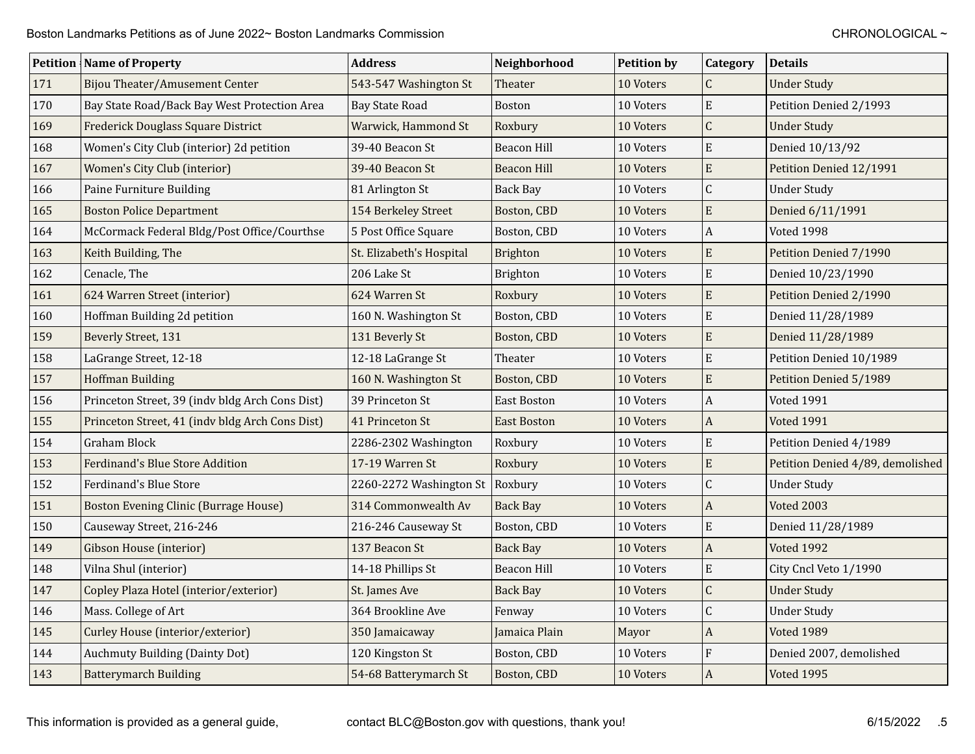|     | <b>Petition Name of Property</b>                | <b>Address</b>           | Neighborhood       | <b>Petition by</b> | Category                  | <b>Details</b>                   |
|-----|-------------------------------------------------|--------------------------|--------------------|--------------------|---------------------------|----------------------------------|
| 171 | Bijou Theater/Amusement Center                  | 543-547 Washington St    | Theater            | 10 Voters          | C                         | <b>Under Study</b>               |
| 170 | Bay State Road/Back Bay West Protection Area    | <b>Bay State Road</b>    | <b>Boston</b>      | 10 Voters          | $\mathbf E$               | Petition Denied 2/1993           |
| 169 | <b>Frederick Douglass Square District</b>       | Warwick, Hammond St      | Roxbury            | 10 Voters          | $\overline{C}$            | <b>Under Study</b>               |
| 168 | Women's City Club (interior) 2d petition        | 39-40 Beacon St          | Beacon Hill        | 10 Voters          | $\mathbf E$               | Denied 10/13/92                  |
| 167 | Women's City Club (interior)                    | 39-40 Beacon St          | Beacon Hill        | 10 Voters          | ${\bf E}$                 | Petition Denied 12/1991          |
| 166 | Paine Furniture Building                        | 81 Arlington St          | <b>Back Bay</b>    | 10 Voters          | $\mathsf C$               | <b>Under Study</b>               |
| 165 | <b>Boston Police Department</b>                 | 154 Berkeley Street      | Boston, CBD        | 10 Voters          | $\mathbf E$               | Denied 6/11/1991                 |
| 164 | McCormack Federal Bldg/Post Office/Courthse     | 5 Post Office Square     | Boston, CBD        | 10 Voters          | $\boldsymbol{\mathsf{A}}$ | Voted 1998                       |
| 163 | Keith Building, The                             | St. Elizabeth's Hospital | Brighton           | 10 Voters          | ${\bf E}$                 | Petition Denied 7/1990           |
| 162 | Cenacle, The                                    | 206 Lake St              | Brighton           | 10 Voters          | E                         | Denied 10/23/1990                |
| 161 | 624 Warren Street (interior)                    | 624 Warren St            | Roxbury            | 10 Voters          | E                         | Petition Denied 2/1990           |
| 160 | Hoffman Building 2d petition                    | 160 N. Washington St     | Boston, CBD        | 10 Voters          | ${\bf E}$                 | Denied 11/28/1989                |
| 159 | Beverly Street, 131                             | 131 Beverly St           | Boston, CBD        | 10 Voters          | E                         | Denied 11/28/1989                |
| 158 | LaGrange Street, 12-18                          | 12-18 LaGrange St        | Theater            | 10 Voters          | E                         | Petition Denied 10/1989          |
| 157 | <b>Hoffman Building</b>                         | 160 N. Washington St     | Boston, CBD        | 10 Voters          | E                         | Petition Denied 5/1989           |
| 156 | Princeton Street, 39 (indv bldg Arch Cons Dist) | 39 Princeton St          | <b>East Boston</b> | 10 Voters          | $\boldsymbol{A}$          | <b>Voted 1991</b>                |
| 155 | Princeton Street, 41 (indv bldg Arch Cons Dist) | 41 Princeton St          | <b>East Boston</b> | 10 Voters          | $\boldsymbol{A}$          | <b>Voted 1991</b>                |
| 154 | <b>Graham Block</b>                             | 2286-2302 Washington     | Roxbury            | 10 Voters          | E                         | Petition Denied 4/1989           |
| 153 | <b>Ferdinand's Blue Store Addition</b>          | 17-19 Warren St          | Roxbury            | 10 Voters          | E                         | Petition Denied 4/89, demolished |
| 152 | Ferdinand's Blue Store                          | 2260-2272 Washington St  | Roxbury            | 10 Voters          | $\mathsf C$               | <b>Under Study</b>               |
| 151 | <b>Boston Evening Clinic (Burrage House)</b>    | 314 Commonwealth Av      | <b>Back Bay</b>    | 10 Voters          | $\boldsymbol{\mathsf{A}}$ | <b>Voted 2003</b>                |
| 150 | Causeway Street, 216-246                        | 216-246 Causeway St      | Boston, CBD        | 10 Voters          | E                         | Denied 11/28/1989                |
| 149 | Gibson House (interior)                         | 137 Beacon St            | <b>Back Bay</b>    | 10 Voters          | $\boldsymbol{A}$          | <b>Voted 1992</b>                |
| 148 | Vilna Shul (interior)                           | 14-18 Phillips St        | <b>Beacon Hill</b> | 10 Voters          | E                         | City Cncl Veto 1/1990            |
| 147 | Copley Plaza Hotel (interior/exterior)          | St. James Ave            | <b>Back Bay</b>    | 10 Voters          | $\overline{C}$            | <b>Under Study</b>               |
| 146 | Mass. College of Art                            | 364 Brookline Ave        | Fenway             | 10 Voters          | $\mathsf C$               | <b>Under Study</b>               |
| 145 | Curley House (interior/exterior)                | 350 Jamaicaway           | Jamaica Plain      | Mayor              | $\boldsymbol{A}$          | <b>Voted 1989</b>                |
| 144 | <b>Auchmuty Building (Dainty Dot)</b>           | 120 Kingston St          | Boston, CBD        | 10 Voters          | F                         | Denied 2007, demolished          |
| 143 | <b>Batterymarch Building</b>                    | 54-68 Batterymarch St    | Boston, CBD        | 10 Voters          | $\overline{A}$            | <b>Voted 1995</b>                |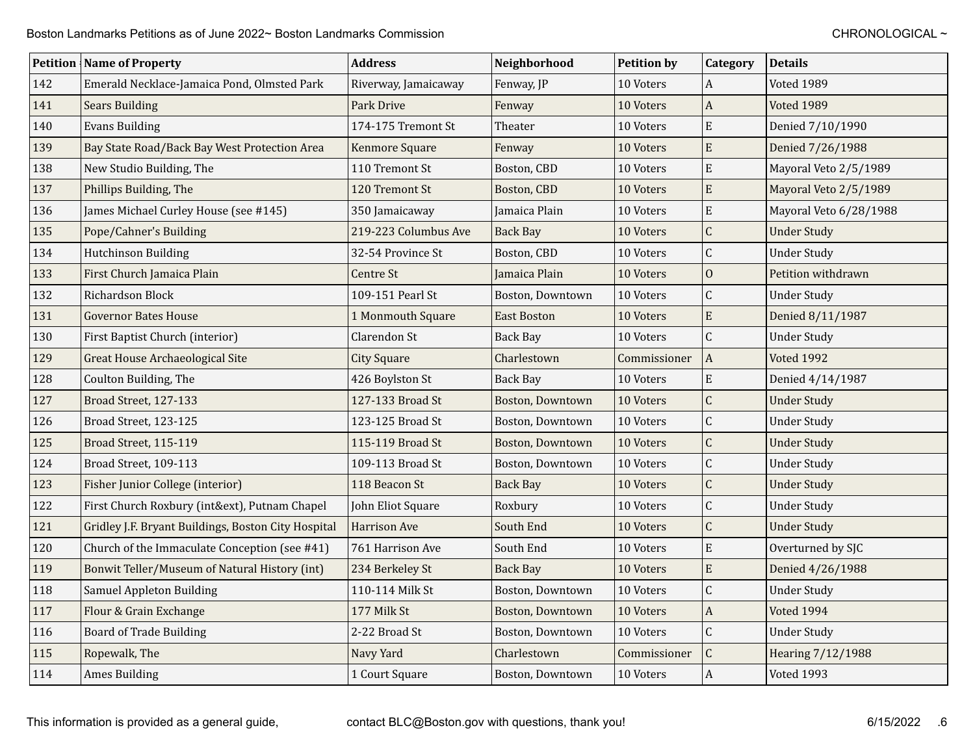|     | <b>Petition   Name of Property</b>                  | <b>Address</b>       | Neighborhood            | <b>Petition by</b> | <b>Category</b>           | <b>Details</b>         |
|-----|-----------------------------------------------------|----------------------|-------------------------|--------------------|---------------------------|------------------------|
| 142 | Emerald Necklace-Jamaica Pond, Olmsted Park         | Riverway, Jamaicaway | Fenway, JP              | 10 Voters          | $\overline{A}$            | Voted 1989             |
| 141 | <b>Sears Building</b>                               | Park Drive           | Fenway                  | 10 Voters          | $\vert$ A                 | Voted 1989             |
| 140 | <b>Evans Building</b>                               | 174-175 Tremont St   | Theater                 | 10 Voters          | $\mathbf E$               | Denied 7/10/1990       |
| 139 | Bay State Road/Back Bay West Protection Area        | Kenmore Square       | Fenway                  | 10 Voters          | ${\bf E}$                 | Denied 7/26/1988       |
| 138 | New Studio Building, The                            | 110 Tremont St       | Boston, CBD             | 10 Voters          | $\mathbf E$               | Mayoral Veto 2/5/1989  |
| 137 | Phillips Building, The                              | 120 Tremont St       | Boston, CBD             | 10 Voters          | ${\bf E}$                 | Mayoral Veto 2/5/1989  |
| 136 | James Michael Curley House (see #145)               | 350 Jamaicaway       | Jamaica Plain           | 10 Voters          | E                         | Mayoral Veto 6/28/1988 |
| 135 | Pope/Cahner's Building                              | 219-223 Columbus Ave | <b>Back Bay</b>         | 10 Voters          | $\mathsf C$               | <b>Under Study</b>     |
| 134 | Hutchinson Building                                 | 32-54 Province St    | Boston, CBD             | 10 Voters          | $\mathsf C$               | <b>Under Study</b>     |
| 133 | First Church Jamaica Plain                          | Centre St            | Jamaica Plain           | 10 Voters          | $\mathbf{0}$              | Petition withdrawn     |
| 132 | Richardson Block                                    | 109-151 Pearl St     | Boston, Downtown        | 10 Voters          | $\mathsf C$               | <b>Under Study</b>     |
| 131 | <b>Governor Bates House</b>                         | 1 Monmouth Square    | <b>East Boston</b>      | 10 Voters          | ${\bf E}$                 | Denied 8/11/1987       |
| 130 | First Baptist Church (interior)                     | Clarendon St         | <b>Back Bay</b>         | 10 Voters          | $\mathsf C$               | <b>Under Study</b>     |
| 129 | <b>Great House Archaeological Site</b>              | <b>City Square</b>   | Charlestown             | Commissioner       | A                         | <b>Voted 1992</b>      |
| 128 | Coulton Building, The                               | 426 Boylston St      | <b>Back Bay</b>         | 10 Voters          | $\mathbf E$               | Denied 4/14/1987       |
| 127 | Broad Street, 127-133                               | 127-133 Broad St     | Boston, Downtown        | 10 Voters          | $\mathsf C$               | <b>Under Study</b>     |
| 126 | Broad Street, 123-125                               | 123-125 Broad St     | Boston, Downtown        | 10 Voters          | $\mathsf C$               | <b>Under Study</b>     |
| 125 | Broad Street, 115-119                               | 115-119 Broad St     | <b>Boston, Downtown</b> | 10 Voters          | $\mathsf C$               | <b>Under Study</b>     |
| 124 | Broad Street, 109-113                               | 109-113 Broad St     | Boston, Downtown        | 10 Voters          | $\mathsf C$               | <b>Under Study</b>     |
| 123 | Fisher Junior College (interior)                    | 118 Beacon St        | <b>Back Bay</b>         | 10 Voters          | $\mathsf C$               | <b>Under Study</b>     |
| 122 | First Church Roxbury (int&ext), Putnam Chapel       | John Eliot Square    | Roxbury                 | 10 Voters          | $\mathsf C$               | <b>Under Study</b>     |
| 121 | Gridley J.F. Bryant Buildings, Boston City Hospital | <b>Harrison Ave</b>  | South End               | 10 Voters          | $\mathsf C$               | <b>Under Study</b>     |
| 120 | Church of the Immaculate Conception (see #41)       | 761 Harrison Ave     | South End               | 10 Voters          | E                         | Overturned by SJC      |
| 119 | Bonwit Teller/Museum of Natural History (int)       | 234 Berkeley St      | <b>Back Bay</b>         | 10 Voters          | E                         | Denied 4/26/1988       |
| 118 | Samuel Appleton Building                            | 110-114 Milk St      | Boston, Downtown        | 10 Voters          | $\mathsf C$               | <b>Under Study</b>     |
| 117 | Flour & Grain Exchange                              | 177 Milk St          | Boston, Downtown        | 10 Voters          | $\boldsymbol{\mathsf{A}}$ | Voted 1994             |
| 116 | <b>Board of Trade Building</b>                      | 2-22 Broad St        | Boston, Downtown        | 10 Voters          | $\mathsf C$               | <b>Under Study</b>     |
| 115 | Ropewalk, The                                       | Navy Yard            | Charlestown             | Commissioner       | $\mathsf C$               | Hearing 7/12/1988      |
| 114 | <b>Ames Building</b>                                | 1 Court Square       | Boston, Downtown        | 10 Voters          | $\vert$ A                 | Voted 1993             |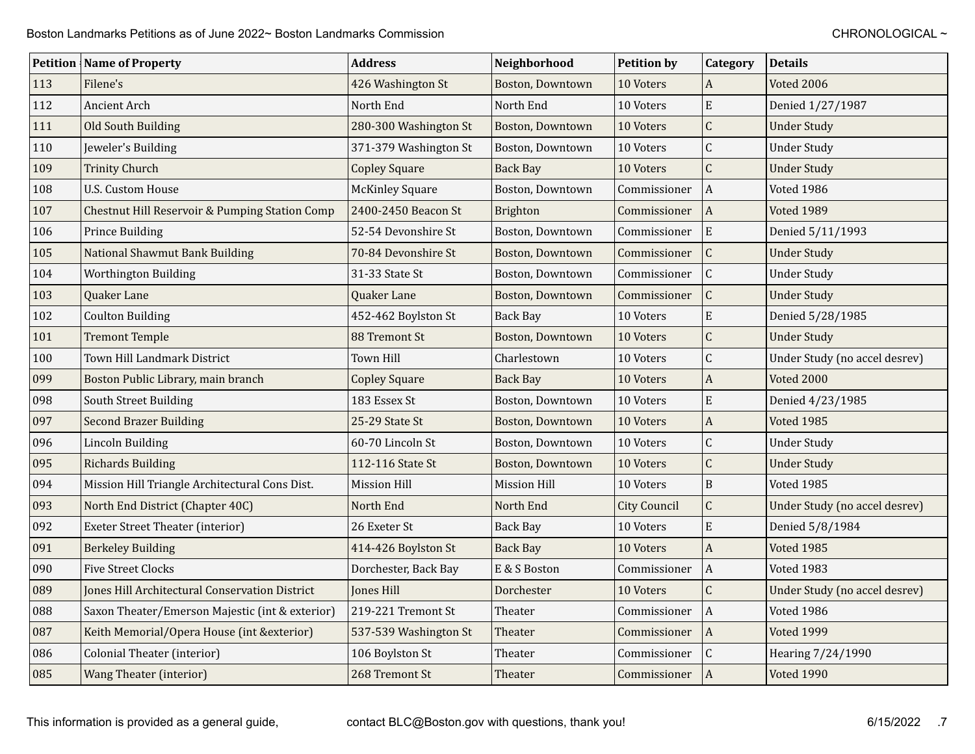|     | <b>Petition   Name of Property</b>                        | <b>Address</b>         | Neighborhood            | <b>Petition by</b>  | <b>Category</b>  | <b>Details</b>                |
|-----|-----------------------------------------------------------|------------------------|-------------------------|---------------------|------------------|-------------------------------|
| 113 | Filene's                                                  | 426 Washington St      | <b>Boston, Downtown</b> | 10 Voters           | $\boldsymbol{A}$ | <b>Voted 2006</b>             |
| 112 | <b>Ancient Arch</b>                                       | North End              | North End               | 10 Voters           | $\mathbf E$      | Denied 1/27/1987              |
| 111 | Old South Building                                        | 280-300 Washington St  | Boston, Downtown        | 10 Voters           | $\overline{C}$   | <b>Under Study</b>            |
| 110 | Jeweler's Building                                        | 371-379 Washington St  | Boston, Downtown        | 10 Voters           | $\mathsf{C}$     | <b>Under Study</b>            |
| 109 | <b>Trinity Church</b>                                     | <b>Copley Square</b>   | <b>Back Bay</b>         | 10 Voters           | $\mathsf{C}$     | <b>Under Study</b>            |
| 108 | <b>U.S. Custom House</b>                                  | <b>McKinley Square</b> | Boston, Downtown        | Commissioner        | $\boldsymbol{A}$ | Voted 1986                    |
| 107 | <b>Chestnut Hill Reservoir &amp; Pumping Station Comp</b> | 2400-2450 Beacon St    | Brighton                | Commissioner        | $\mathbf{A}$     | <b>Voted 1989</b>             |
| 106 | Prince Building                                           | 52-54 Devonshire St    | Boston, Downtown        | Commissioner        | E                | Denied 5/11/1993              |
| 105 | <b>National Shawmut Bank Building</b>                     | 70-84 Devonshire St    | Boston, Downtown        | Commissioner        | $\mathsf C$      | <b>Under Study</b>            |
| 104 | Worthington Building                                      | 31-33 State St         | Boston, Downtown        | Commissioner        | $\mathsf C$      | <b>Under Study</b>            |
| 103 | Quaker Lane                                               | Quaker Lane            | Boston, Downtown        | Commissioner        | $\mathsf C$      | <b>Under Study</b>            |
| 102 | <b>Coulton Building</b>                                   | 452-462 Boylston St    | Back Bay                | 10 Voters           | E                | Denied 5/28/1985              |
| 101 | <b>Tremont Temple</b>                                     | <b>88 Tremont St</b>   | Boston, Downtown        | 10 Voters           | $\mathsf{C}$     | <b>Under Study</b>            |
| 100 | Town Hill Landmark District                               | Town Hill              | Charlestown             | 10 Voters           | $\mathsf{C}$     | Under Study (no accel desrev) |
| 099 | Boston Public Library, main branch                        | <b>Copley Square</b>   | <b>Back Bay</b>         | 10 Voters           | $\mathbf{A}$     | <b>Voted 2000</b>             |
| 098 | South Street Building                                     | 183 Essex St           | Boston, Downtown        | 10 Voters           | E                | Denied 4/23/1985              |
| 097 | <b>Second Brazer Building</b>                             | 25-29 State St         | Boston, Downtown        | 10 Voters           | $\boldsymbol{A}$ | <b>Voted 1985</b>             |
| 096 | Lincoln Building                                          | 60-70 Lincoln St       | Boston, Downtown        | 10 Voters           | $\mathsf C$      | <b>Under Study</b>            |
| 095 | <b>Richards Building</b>                                  | 112-116 State St       | Boston, Downtown        | 10 Voters           | $\mathsf{C}$     | <b>Under Study</b>            |
| 094 | Mission Hill Triangle Architectural Cons Dist.            | Mission Hill           | Mission Hill            | 10 Voters           | $\mathbf B$      | Voted 1985                    |
| 093 | North End District (Chapter 40C)                          | North End              | North End               | <b>City Council</b> | $\mathsf{C}$     | Under Study (no accel desrev) |
| 092 | Exeter Street Theater (interior)                          | 26 Exeter St           | <b>Back Bay</b>         | 10 Voters           | $\mathbf E$      | Denied 5/8/1984               |
| 091 | <b>Berkeley Building</b>                                  | 414-426 Boylston St    | <b>Back Bay</b>         | 10 Voters           | $\boldsymbol{A}$ | Voted 1985                    |
| 090 | <b>Five Street Clocks</b>                                 | Dorchester, Back Bay   | E & S Boston            | Commissioner        | $\overline{A}$   | Voted 1983                    |
| 089 | Jones Hill Architectural Conservation District            | Jones Hill             | Dorchester              | 10 Voters           | $\mathsf{C}$     | Under Study (no accel desrev) |
| 088 | Saxon Theater/Emerson Majestic (int & exterior)           | 219-221 Tremont St     | Theater                 | Commissioner        | $\boldsymbol{A}$ | Voted 1986                    |
| 087 | Keith Memorial/Opera House (int & exterior)               | 537-539 Washington St  | Theater                 | Commissioner        | $\vert$ A        | <b>Voted 1999</b>             |
| 086 | Colonial Theater (interior)                               | 106 Boylston St        | Theater                 | Commissioner        | $\mathsf{C}$     | Hearing 7/24/1990             |
| 085 | <b>Wang Theater (interior)</b>                            | 268 Tremont St         | Theater                 | Commissioner        | A                | <b>Voted 1990</b>             |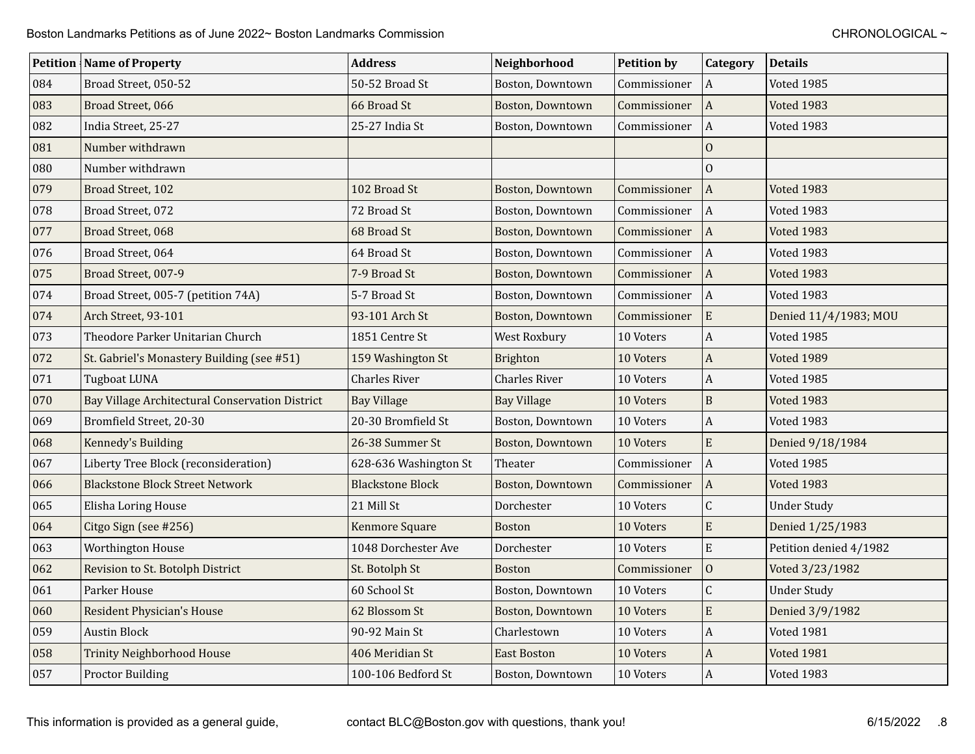|     | <b>Petition Name of Property</b>                | <b>Address</b>          | Neighborhood            | <b>Petition by</b> | <b>Category</b>           | <b>Details</b>         |
|-----|-------------------------------------------------|-------------------------|-------------------------|--------------------|---------------------------|------------------------|
| 084 | Broad Street, 050-52                            | 50-52 Broad St          | Boston, Downtown        | Commissioner       | l A                       | Voted 1985             |
| 083 | Broad Street, 066                               | 66 Broad St             | Boston, Downtown        | Commissioner       | A                         | Voted 1983             |
| 082 | India Street, 25-27                             | 25-27 India St          | Boston, Downtown        | Commissioner       | A                         | Voted 1983             |
| 081 | Number withdrawn                                |                         |                         |                    | $\mathbf{0}$              |                        |
| 080 | Number withdrawn                                |                         |                         |                    | $\overline{0}$            |                        |
| 079 | Broad Street, 102                               | 102 Broad St            | Boston, Downtown        | Commissioner       | A                         | <b>Voted 1983</b>      |
| 078 | Broad Street, 072                               | 72 Broad St             | Boston, Downtown        | Commissioner       | l A                       | Voted 1983             |
| 077 | Broad Street, 068                               | 68 Broad St             | Boston, Downtown        | Commissioner       | A                         | <b>Voted 1983</b>      |
| 076 | Broad Street, 064                               | 64 Broad St             | Boston, Downtown        | Commissioner       | A                         | Voted 1983             |
| 075 | Broad Street, 007-9                             | 7-9 Broad St            | Boston, Downtown        | Commissioner       | A                         | <b>Voted 1983</b>      |
| 074 | Broad Street, 005-7 (petition 74A)              | 5-7 Broad St            | Boston, Downtown        | Commissioner       | A                         | Voted 1983             |
| 074 | Arch Street, 93-101                             | 93-101 Arch St          | <b>Boston, Downtown</b> | Commissioner       | E                         | Denied 11/4/1983; MOU  |
| 073 | Theodore Parker Unitarian Church                | 1851 Centre St          | West Roxbury            | 10 Voters          | $\vert A \vert$           | Voted 1985             |
| 072 | St. Gabriel's Monastery Building (see #51)      | 159 Washington St       | <b>Brighton</b>         | 10 Voters          | $\boldsymbol{\mathsf{A}}$ | <b>Voted 1989</b>      |
| 071 | <b>Tugboat LUNA</b>                             | <b>Charles River</b>    | <b>Charles River</b>    | 10 Voters          | $\mathbf{A}$              | Voted 1985             |
| 070 | Bay Village Architectural Conservation District | <b>Bay Village</b>      | <b>Bay Village</b>      | 10 Voters          | $\, {\bf B}$              | <b>Voted 1983</b>      |
| 069 | Bromfield Street, 20-30                         | 20-30 Bromfield St      | Boston, Downtown        | 10 Voters          | $\boldsymbol{A}$          | Voted 1983             |
| 068 | Kennedy's Building                              | 26-38 Summer St         | <b>Boston, Downtown</b> | 10 Voters          | E                         | Denied 9/18/1984       |
| 067 | Liberty Tree Block (reconsideration)            | 628-636 Washington St   | Theater                 | Commissioner       | A                         | Voted 1985             |
| 066 | <b>Blackstone Block Street Network</b>          | <b>Blackstone Block</b> | <b>Boston, Downtown</b> | Commissioner       | l A                       | <b>Voted 1983</b>      |
| 065 | Elisha Loring House                             | 21 Mill St              | Dorchester              | 10 Voters          | $\mathsf C$               | <b>Under Study</b>     |
| 064 | Citgo Sign (see #256)                           | Kenmore Square          | <b>Boston</b>           | 10 Voters          | ${\bf E}$                 | Denied 1/25/1983       |
| 063 | Worthington House                               | 1048 Dorchester Ave     | Dorchester              | 10 Voters          | E                         | Petition denied 4/1982 |
| 062 | Revision to St. Botolph District                | St. Botolph St          | Boston                  | Commissioner       | $\mathbf{0}$              | Voted 3/23/1982        |
| 061 | Parker House                                    | 60 School St            | Boston, Downtown        | 10 Voters          | $\mathsf C$               | <b>Under Study</b>     |
| 060 | <b>Resident Physician's House</b>               | 62 Blossom St           | <b>Boston, Downtown</b> | 10 Voters          | ${\bf E}$                 | Denied 3/9/1982        |
| 059 | <b>Austin Block</b>                             | 90-92 Main St           | Charlestown             | 10 Voters          | $\boldsymbol{A}$          | <b>Voted 1981</b>      |
| 058 | <b>Trinity Neighborhood House</b>               | 406 Meridian St         | East Boston             | 10 Voters          | $\boldsymbol{A}$          | <b>Voted 1981</b>      |
| 057 | <b>Proctor Building</b>                         | 100-106 Bedford St      | Boston, Downtown        | 10 Voters          | $\vert$ A                 | Voted 1983             |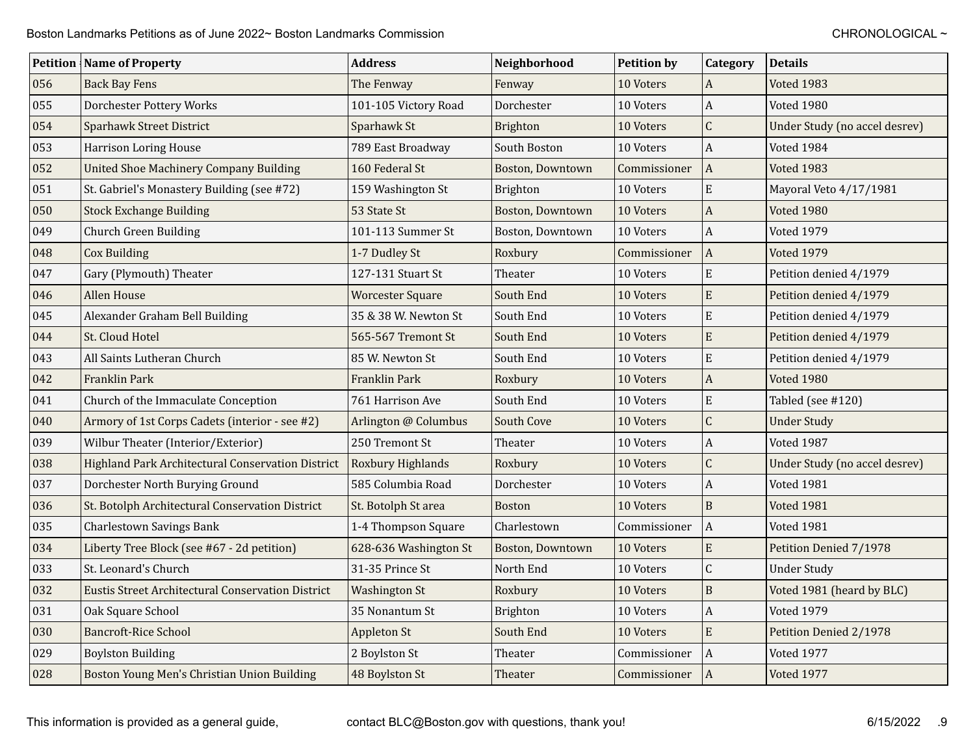|     | <b>Petition   Name of Property</b>                       | <b>Address</b>          | Neighborhood            | <b>Petition by</b> | Category                  | <b>Details</b>                |
|-----|----------------------------------------------------------|-------------------------|-------------------------|--------------------|---------------------------|-------------------------------|
| 056 | <b>Back Bay Fens</b>                                     | The Fenway              | Fenway                  | 10 Voters          | $\boldsymbol{A}$          | Voted 1983                    |
| 055 | Dorchester Pottery Works                                 | 101-105 Victory Road    | Dorchester              | 10 Voters          | $\boldsymbol{A}$          | Voted 1980                    |
| 054 | <b>Sparhawk Street District</b>                          | Sparhawk St             | <b>Brighton</b>         | 10 Voters          | $\overline{C}$            | Under Study (no accel desrev) |
| 053 | <b>Harrison Loring House</b>                             | 789 East Broadway       | South Boston            | 10 Voters          | $\Lambda$                 | Voted 1984                    |
| 052 | <b>United Shoe Machinery Company Building</b>            | 160 Federal St          | Boston, Downtown        | Commissioner       | $\vert$ A                 | Voted 1983                    |
| 051 | St. Gabriel's Monastery Building (see #72)               | 159 Washington St       | Brighton                | 10 Voters          | E                         | Mayoral Veto 4/17/1981        |
| 050 | <b>Stock Exchange Building</b>                           | 53 State St             | <b>Boston, Downtown</b> | 10 Voters          | $\overline{A}$            | <b>Voted 1980</b>             |
| 049 | <b>Church Green Building</b>                             | 101-113 Summer St       | Boston, Downtown        | 10 Voters          | $\Lambda$                 | Voted 1979                    |
| 048 | <b>Cox Building</b>                                      | 1-7 Dudley St           | Roxbury                 | Commissioner       | A                         | <b>Voted 1979</b>             |
| 047 | Gary (Plymouth) Theater                                  | 127-131 Stuart St       | Theater                 | 10 Voters          | E                         | Petition denied 4/1979        |
| 046 | <b>Allen House</b>                                       | <b>Worcester Square</b> | South End               | 10 Voters          | E                         | Petition denied 4/1979        |
| 045 | Alexander Graham Bell Building                           | 35 & 38 W. Newton St    | South End               | 10 Voters          | E                         | Petition denied 4/1979        |
| 044 | St. Cloud Hotel                                          | 565-567 Tremont St      | South End               | 10 Voters          | E                         | Petition denied 4/1979        |
| 043 | All Saints Lutheran Church                               | 85 W. Newton St         | South End               | 10 Voters          | E                         | Petition denied 4/1979        |
| 042 | Franklin Park                                            | Franklin Park           | Roxbury                 | 10 Voters          | $\boldsymbol{A}$          | <b>Voted 1980</b>             |
| 041 | Church of the Immaculate Conception                      | 761 Harrison Ave        | South End               | 10 Voters          | E                         | Tabled (see #120)             |
| 040 | Armory of 1st Corps Cadets (interior - see #2)           | Arlington @ Columbus    | South Cove              | 10 Voters          | $\overline{C}$            | <b>Under Study</b>            |
| 039 | Wilbur Theater (Interior/Exterior)                       | 250 Tremont St          | Theater                 | 10 Voters          | A                         | Voted 1987                    |
| 038 | <b>Highland Park Architectural Conservation District</b> | Roxbury Highlands       | Roxbury                 | 10 Voters          | $\overline{C}$            | Under Study (no accel desrev) |
| 037 | Dorchester North Burying Ground                          | 585 Columbia Road       | Dorchester              | 10 Voters          | $\boldsymbol{A}$          | Voted 1981                    |
| 036 | St. Botolph Architectural Conservation District          | St. Botolph St area     | <b>Boston</b>           | 10 Voters          | $\mathbf B$               | <b>Voted 1981</b>             |
| 035 | <b>Charlestown Savings Bank</b>                          | 1-4 Thompson Square     | Charlestown             | Commissioner       | $\overline{A}$            | <b>Voted 1981</b>             |
| 034 | Liberty Tree Block (see #67 - 2d petition)               | 628-636 Washington St   | Boston, Downtown        | 10 Voters          | E                         | Petition Denied 7/1978        |
| 033 | St. Leonard's Church                                     | 31-35 Prince St         | North End               | 10 Voters          | C                         | <b>Under Study</b>            |
| 032 | <b>Eustis Street Architectural Conservation District</b> | <b>Washington St</b>    | Roxbury                 | 10 Voters          | $\overline{B}$            | Voted 1981 (heard by BLC)     |
| 031 | Oak Square School                                        | 35 Nonantum St          | Brighton                | 10 Voters          | $\boldsymbol{\mathsf{A}}$ | <b>Voted 1979</b>             |
| 030 | <b>Bancroft-Rice School</b>                              | Appleton St             | South End               | 10 Voters          | E                         | Petition Denied 2/1978        |
| 029 | <b>Boylston Building</b>                                 | 2 Boylston St           | Theater                 | Commissioner       | $\Lambda$                 | Voted 1977                    |
| 028 | Boston Young Men's Christian Union Building              | 48 Boylston St          | Theater                 | Commissioner       | A                         | <b>Voted 1977</b>             |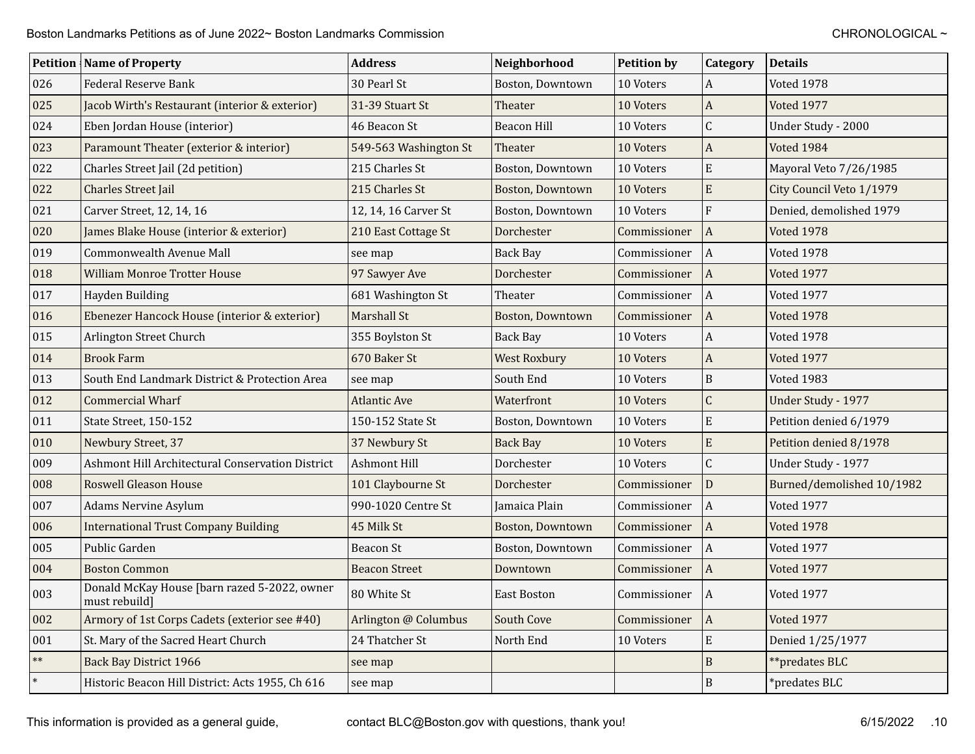|            | <b>Petition Name of Property</b>                              | <b>Address</b>        | Neighborhood        | <b>Petition by</b> | <b>Category</b>           | <b>Details</b>            |
|------------|---------------------------------------------------------------|-----------------------|---------------------|--------------------|---------------------------|---------------------------|
| 026        | <b>Federal Reserve Bank</b>                                   | 30 Pearl St           | Boston, Downtown    | 10 Voters          | $\boldsymbol{A}$          | Voted 1978                |
| 025        | Jacob Wirth's Restaurant (interior & exterior)                | 31-39 Stuart St       | Theater             | 10 Voters          | $\mathbf{A}$              | Voted 1977                |
| 024        | Eben Jordan House (interior)                                  | 46 Beacon St          | <b>Beacon Hill</b>  | 10 Voters          | $\mathsf{C}$              | Under Study - 2000        |
| 023        | Paramount Theater (exterior & interior)                       | 549-563 Washington St | Theater             | 10 Voters          | $\boldsymbol{\mathsf{A}}$ | Voted 1984                |
| 022        | Charles Street Jail (2d petition)                             | 215 Charles St        | Boston, Downtown    | 10 Voters          | E                         | Mayoral Veto 7/26/1985    |
| 022        | Charles Street Jail                                           | 215 Charles St        | Boston, Downtown    | 10 Voters          | E                         | City Council Veto 1/1979  |
| 021        | Carver Street, 12, 14, 16                                     | 12, 14, 16 Carver St  | Boston, Downtown    | 10 Voters          | $\mathbf{F}$              | Denied, demolished 1979   |
| 020        | James Blake House (interior & exterior)                       | 210 East Cottage St   | Dorchester          | Commissioner       | $\boldsymbol{A}$          | <b>Voted 1978</b>         |
| 019        | Commonwealth Avenue Mall                                      | see map               | <b>Back Bay</b>     | Commissioner       | $\vert$ A                 | <b>Voted 1978</b>         |
| 018        | <b>William Monroe Trotter House</b>                           | 97 Sawyer Ave         | Dorchester          | Commissioner       | $\vert$ A                 | Voted 1977                |
| 017        | Hayden Building                                               | 681 Washington St     | Theater             | Commissioner       | $\vert$ A                 | Voted 1977                |
| 016        | Ebenezer Hancock House (interior & exterior)                  | Marshall St           | Boston, Downtown    | Commissioner       | $\vert$ A                 | <b>Voted 1978</b>         |
| 015        | Arlington Street Church                                       | 355 Boylston St       | <b>Back Bay</b>     | 10 Voters          | A                         | Voted 1978                |
| 014        | <b>Brook Farm</b>                                             | 670 Baker St          | <b>West Roxbury</b> | 10 Voters          | $\boldsymbol{\mathsf{A}}$ | Voted 1977                |
| 013        | South End Landmark District & Protection Area                 | see map               | South End           | 10 Voters          | $\mathbf B$               | Voted 1983                |
| 012        | <b>Commercial Wharf</b>                                       | <b>Atlantic Ave</b>   | Waterfront          | 10 Voters          | $\mathsf{C}$              | Under Study - 1977        |
| 011        | State Street, 150-152                                         | 150-152 State St      | Boston, Downtown    | 10 Voters          | E                         | Petition denied 6/1979    |
| 010        | Newbury Street, 37                                            | 37 Newbury St         | <b>Back Bay</b>     | 10 Voters          | $\mathbf E$               | Petition denied 8/1978    |
| 009        | Ashmont Hill Architectural Conservation District              | <b>Ashmont Hill</b>   | Dorchester          | 10 Voters          | $\mathsf C$               | Under Study - 1977        |
| 008        | <b>Roswell Gleason House</b>                                  | 101 Claybourne St     | Dorchester          | Commissioner       | D                         | Burned/demolished 10/1982 |
| 007        | <b>Adams Nervine Asylum</b>                                   | 990-1020 Centre St    | Jamaica Plain       | Commissioner       | $\overline{A}$            | Voted 1977                |
| 006        | <b>International Trust Company Building</b>                   | 45 Milk St            | Boston, Downtown    | Commissioner       | $\vert$ A                 | <b>Voted 1978</b>         |
| 005        | Public Garden                                                 | <b>Beacon St</b>      | Boston, Downtown    | Commissioner       | $\vert$ A                 | Voted 1977                |
| 004        | <b>Boston Common</b>                                          | <b>Beacon Street</b>  | Downtown            | Commissioner       | $\vert A \vert$           | <b>Voted 1977</b>         |
| 003        | Donald McKay House [barn razed 5-2022, owner<br>must rebuild] | 80 White St           | East Boston         | Commissioner       | $\vert A \vert$           | Voted 1977                |
| 002        | Armory of 1st Corps Cadets (exterior see #40)                 | Arlington @ Columbus  | South Cove          | Commissioner       | $\boldsymbol{A}$          | Voted 1977                |
| 001        | St. Mary of the Sacred Heart Church                           | 24 Thatcher St        | North End           | 10 Voters          | ${\bf E}$                 | Denied 1/25/1977          |
| $\ast\ast$ | <b>Back Bay District 1966</b>                                 | see map               |                     |                    | $\overline{B}$            | **predates BLC            |
| $\ast$     | Historic Beacon Hill District: Acts 1955, Ch 616              | see map               |                     |                    | $\, {\bf B}$              | *predates BLC             |